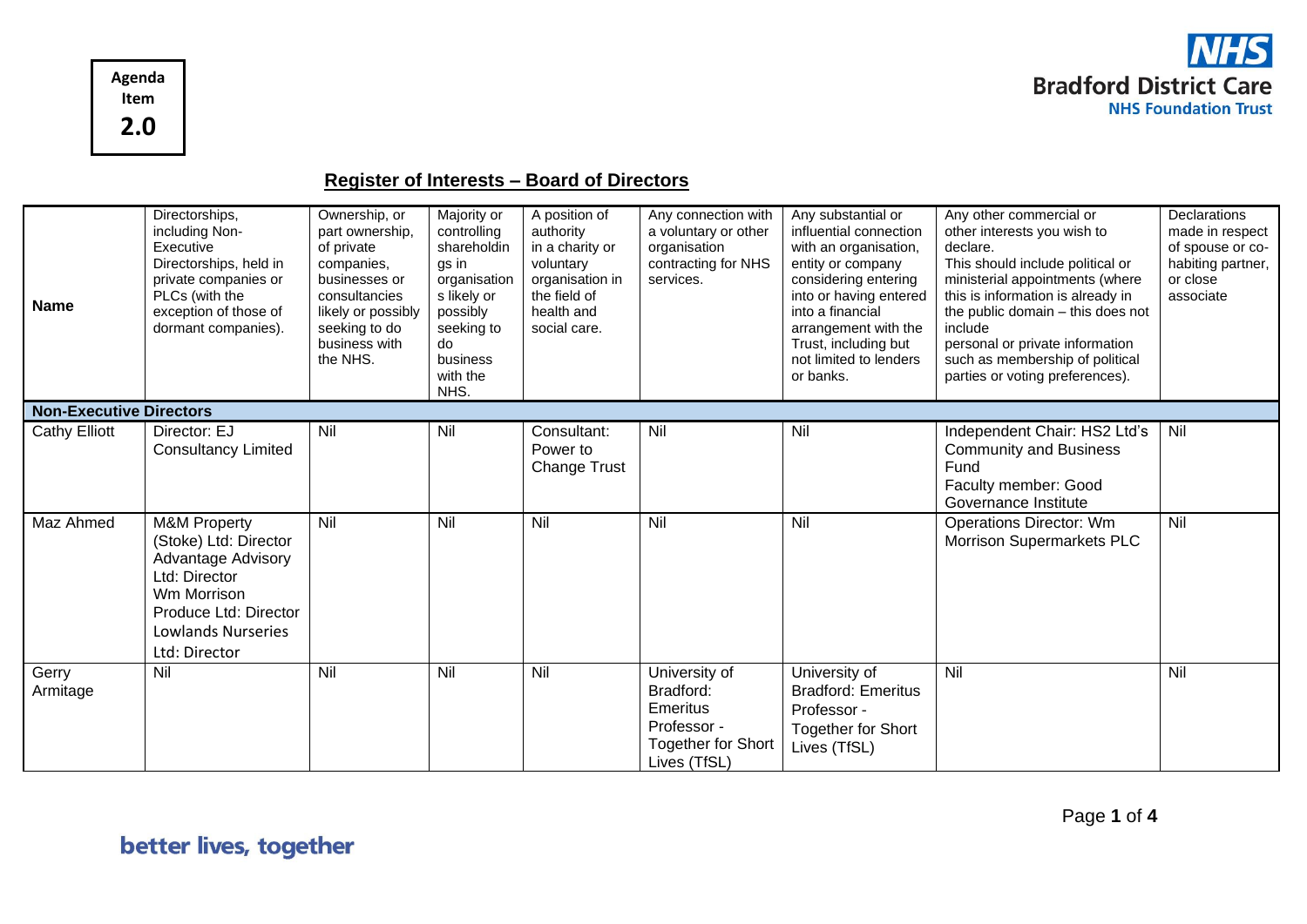

**Register of Interests – Board of Directors**

| <b>Name</b>                    | Directorships,<br>including Non-<br>Executive<br>Directorships, held in<br>private companies or<br>PLCs (with the<br>exception of those of<br>dormant companies).                    | Ownership, or<br>part ownership,<br>of private<br>companies,<br>businesses or<br>consultancies<br>likely or possibly<br>seeking to do<br>business with<br>the NHS. | Majority or<br>controlling<br>shareholdin<br>gs in<br>organisation<br>s likely or<br>possibly<br>seeking to<br>do<br>business<br>with the<br>NHS. | A position of<br>authority<br>in a charity or<br>voluntary<br>organisation in<br>the field of<br>health and<br>social care. | Any connection with<br>a voluntary or other<br>organisation<br>contracting for NHS<br>services.    | Any substantial or<br>influential connection<br>with an organisation,<br>entity or company<br>considering entering<br>into or having entered<br>into a financial<br>arrangement with the<br>Trust, including but<br>not limited to lenders<br>or banks. | Any other commercial or<br>other interests you wish to<br>declare.<br>This should include political or<br>ministerial appointments (where<br>this is information is already in<br>the public domain - this does not<br>include<br>personal or private information<br>such as membership of political<br>parties or voting preferences). | Declarations<br>made in respect<br>of spouse or co-<br>habiting partner,<br>or close<br>associate |
|--------------------------------|--------------------------------------------------------------------------------------------------------------------------------------------------------------------------------------|--------------------------------------------------------------------------------------------------------------------------------------------------------------------|---------------------------------------------------------------------------------------------------------------------------------------------------|-----------------------------------------------------------------------------------------------------------------------------|----------------------------------------------------------------------------------------------------|---------------------------------------------------------------------------------------------------------------------------------------------------------------------------------------------------------------------------------------------------------|-----------------------------------------------------------------------------------------------------------------------------------------------------------------------------------------------------------------------------------------------------------------------------------------------------------------------------------------|---------------------------------------------------------------------------------------------------|
| <b>Non-Executive Directors</b> |                                                                                                                                                                                      |                                                                                                                                                                    |                                                                                                                                                   |                                                                                                                             |                                                                                                    |                                                                                                                                                                                                                                                         |                                                                                                                                                                                                                                                                                                                                         |                                                                                                   |
| <b>Cathy Elliott</b>           | Director: EJ<br><b>Consultancy Limited</b>                                                                                                                                           | Nil                                                                                                                                                                | Nil                                                                                                                                               | Consultant:<br>Power to<br><b>Change Trust</b>                                                                              | Nil                                                                                                | Nil                                                                                                                                                                                                                                                     | Independent Chair: HS2 Ltd's<br><b>Community and Business</b><br>Fund<br>Faculty member: Good<br>Governance Institute                                                                                                                                                                                                                   | Nil                                                                                               |
| Maz Ahmed                      | <b>M&amp;M Property</b><br>(Stoke) Ltd: Director<br><b>Advantage Advisory</b><br>Ltd: Director<br>Wm Morrison<br>Produce Ltd: Director<br><b>Lowlands Nurseries</b><br>Ltd: Director | Nil                                                                                                                                                                | Nil                                                                                                                                               | Nil                                                                                                                         | Nil                                                                                                | Nil                                                                                                                                                                                                                                                     | <b>Operations Director: Wm</b><br>Morrison Supermarkets PLC                                                                                                                                                                                                                                                                             | Nil                                                                                               |
| Gerry<br>Armitage              | Nil                                                                                                                                                                                  | Nil                                                                                                                                                                | Nil                                                                                                                                               | Nil                                                                                                                         | University of<br>Bradford:<br>Emeritus<br>Professor -<br><b>Together for Short</b><br>Lives (TfSL) | University of<br><b>Bradford: Emeritus</b><br>Professor -<br><b>Together for Short</b><br>Lives (TfSL)                                                                                                                                                  | Nil                                                                                                                                                                                                                                                                                                                                     | Nil                                                                                               |

Page **1** of **4**

**Agenda Item**

**2.0**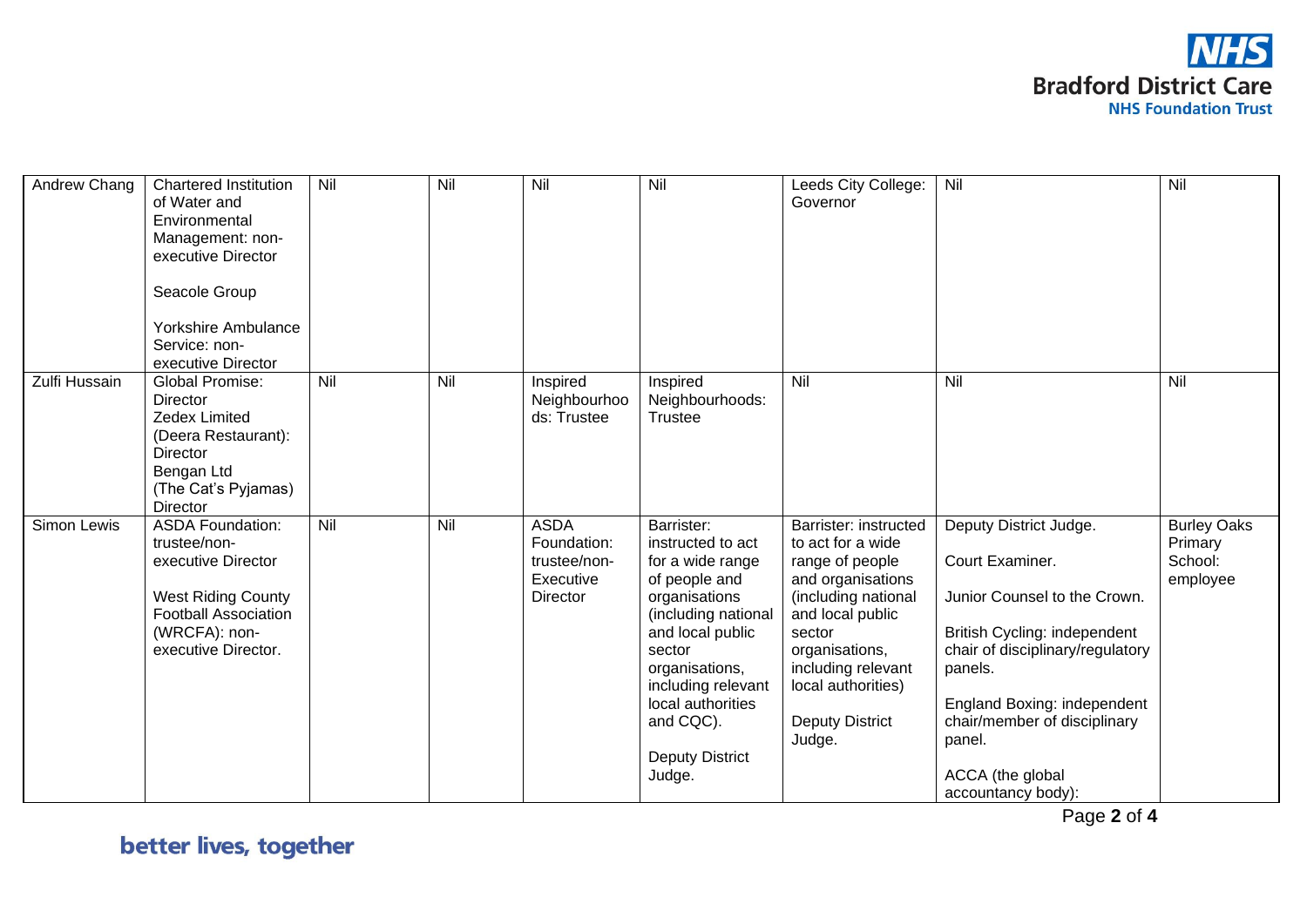

| Andrew Chang  | <b>Chartered Institution</b><br>of Water and<br>Environmental<br>Management: non-<br>executive Director<br>Seacole Group<br><b>Yorkshire Ambulance</b><br>Service: non-<br>executive Director | Nil | Nil | Nil                                                                 | Nil                                                                                                                                                                                                                                                      | Leeds City College:<br>Governor                                                                                                                                                                                                           | Nil                                                                                                                                                                                                                                                                         | Nil                                                  |
|---------------|-----------------------------------------------------------------------------------------------------------------------------------------------------------------------------------------------|-----|-----|---------------------------------------------------------------------|----------------------------------------------------------------------------------------------------------------------------------------------------------------------------------------------------------------------------------------------------------|-------------------------------------------------------------------------------------------------------------------------------------------------------------------------------------------------------------------------------------------|-----------------------------------------------------------------------------------------------------------------------------------------------------------------------------------------------------------------------------------------------------------------------------|------------------------------------------------------|
| Zulfi Hussain | <b>Global Promise:</b><br>Director<br>Zedex Limited<br>(Deera Restaurant):<br><b>Director</b><br>Bengan Ltd<br>(The Cat's Pyjamas)<br>Director                                                | Nil | Nil | Inspired<br>Neighbourhoo<br>ds: Trustee                             | Inspired<br>Neighbourhoods:<br><b>Trustee</b>                                                                                                                                                                                                            | Nil                                                                                                                                                                                                                                       | Nil                                                                                                                                                                                                                                                                         | Nil                                                  |
| Simon Lewis   | <b>ASDA Foundation:</b><br>trustee/non-<br>executive Director<br><b>West Riding County</b><br><b>Football Association</b><br>(WRCFA): non-<br>executive Director.                             | Nil | Nil | <b>ASDA</b><br>Foundation:<br>trustee/non-<br>Executive<br>Director | Barrister:<br>instructed to act<br>for a wide range<br>of people and<br>organisations<br>(including national<br>and local public<br>sector<br>organisations,<br>including relevant<br>local authorities<br>and CQC).<br><b>Deputy District</b><br>Judge. | Barrister: instructed<br>to act for a wide<br>range of people<br>and organisations<br>(including national<br>and local public<br>sector<br>organisations,<br>including relevant<br>local authorities)<br><b>Deputy District</b><br>Judge. | Deputy District Judge.<br>Court Examiner.<br>Junior Counsel to the Crown.<br>British Cycling: independent<br>chair of disciplinary/regulatory<br>panels.<br>England Boxing: independent<br>chair/member of disciplinary<br>panel.<br>ACCA (the global<br>accountancy body): | <b>Burley Oaks</b><br>Primary<br>School:<br>employee |

better lives, together

Page **2** of **4**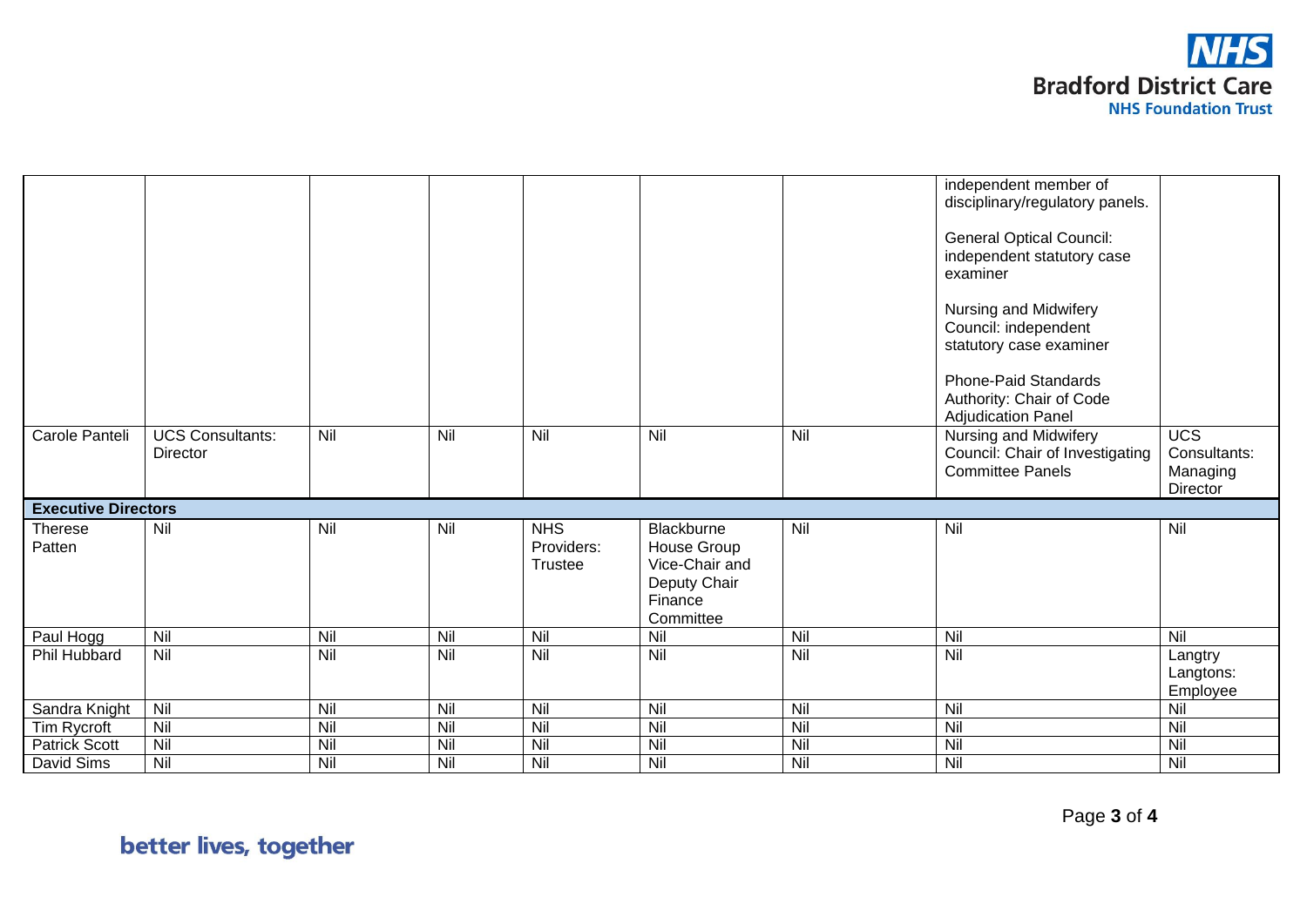

|                            |                                     |     |     |                                     |                                                                                     |     | independent member of<br>disciplinary/regulatory panels.<br><b>General Optical Council:</b><br>independent statutory case<br>examiner<br>Nursing and Midwifery<br>Council: independent<br>statutory case examiner<br>Phone-Paid Standards<br>Authority: Chair of Code<br><b>Adjudication Panel</b> |                                                          |
|----------------------------|-------------------------------------|-----|-----|-------------------------------------|-------------------------------------------------------------------------------------|-----|----------------------------------------------------------------------------------------------------------------------------------------------------------------------------------------------------------------------------------------------------------------------------------------------------|----------------------------------------------------------|
| Carole Panteli             | <b>UCS Consultants:</b><br>Director | Nil | Nil | Nil                                 | Nil                                                                                 | Nil | Nursing and Midwifery<br>Council: Chair of Investigating<br><b>Committee Panels</b>                                                                                                                                                                                                                | $\overline{UCS}$<br>Consultants:<br>Managing<br>Director |
| <b>Executive Directors</b> |                                     |     |     |                                     |                                                                                     |     |                                                                                                                                                                                                                                                                                                    |                                                          |
| <b>Therese</b><br>Patten   | Nil                                 | Nil | Nil | <b>NHS</b><br>Providers:<br>Trustee | Blackburne<br>House Group<br>Vice-Chair and<br>Deputy Chair<br>Finance<br>Committee | Nil | Nil                                                                                                                                                                                                                                                                                                | Nil                                                      |
| Paul Hogg                  | Nil                                 | Nil | Nil | Nil                                 | Nil                                                                                 | Nil | Nil                                                                                                                                                                                                                                                                                                | Nil                                                      |
| Phil Hubbard               | Nil                                 | Nil | Nil | Nil                                 | Nil                                                                                 | Nil | Nil                                                                                                                                                                                                                                                                                                | Langtry<br>Langtons:<br>Employee                         |
| Sandra Knight              | Nil                                 | Nil | Nil | Nil                                 | Nil                                                                                 | Nil | Nil                                                                                                                                                                                                                                                                                                | Nil                                                      |
| Tim Rycroft                | Nil                                 | Nil | Nil | Nil                                 | Nil                                                                                 | Nil | Nil                                                                                                                                                                                                                                                                                                | Nil                                                      |
| <b>Patrick Scott</b>       | Nil                                 | Nil | Nil | Nil                                 | Nil                                                                                 | Nil | Nil                                                                                                                                                                                                                                                                                                | Nil                                                      |
| David Sims                 | Nil                                 | Nil | Nil | Nil                                 | Nil                                                                                 | Nil | Nil                                                                                                                                                                                                                                                                                                | Nil                                                      |